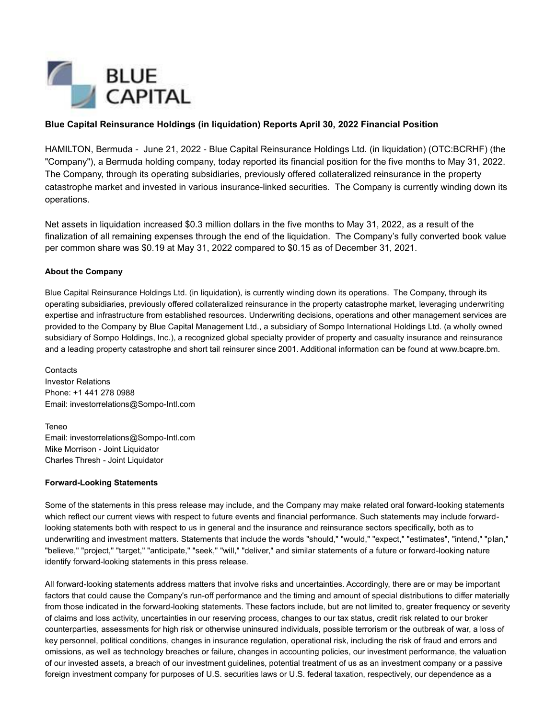

### **Blue Capital Reinsurance Holdings (in liquidation) Reports April 30, 2022 Financial Position**

HAMILTON, Bermuda - June 21, 2022 - Blue Capital Reinsurance Holdings Ltd. (in liquidation) (OTC:BCRHF) (the "Company"), a Bermuda holding company, today reported its financial position for the five months to May 31, 2022. The Company, through its operating subsidiaries, previously offered collateralized reinsurance in the property catastrophe market and invested in various insurance-linked securities. The Company is currently winding down its operations.

Net assets in liquidation increased \$0.3 million dollars in the five months to May 31, 2022, as a result of the finalization of all remaining expenses through the end of the liquidation. The Company's fully converted book value per common share was \$0.19 at May 31, 2022 compared to \$0.15 as of December 31, 2021.

#### **About the Company**

Blue Capital Reinsurance Holdings Ltd. (in liquidation), is currently winding down its operations. The Company, through its operating subsidiaries, previously offered collateralized reinsurance in the property catastrophe market, leveraging underwriting expertise and infrastructure from established resources. Underwriting decisions, operations and other management services are provided to the Company by Blue Capital Management Ltd., a subsidiary of Sompo International Holdings Ltd. (a wholly owned subsidiary of Sompo Holdings, Inc.), a recognized global specialty provider of property and casualty insurance and reinsurance and a leading property catastrophe and short tail reinsurer since 2001. Additional information can be found at www.bcapre.bm.

**Contacts** Investor Relations Phone: +1 441 278 0988 Email: investorrelations@Sompo-Intl.com

Teneo Email: investorrelations@Sompo-Intl.com Mike Morrison - Joint Liquidator Charles Thresh - Joint Liquidator

#### **Forward-Looking Statements**

Some of the statements in this press release may include, and the Company may make related oral forward-looking statements which reflect our current views with respect to future events and financial performance. Such statements may include forwardlooking statements both with respect to us in general and the insurance and reinsurance sectors specifically, both as to underwriting and investment matters. Statements that include the words "should," "would," "expect," "estimates", "intend," "plan," "believe," "project," "target," "anticipate," "seek," "will," "deliver," and similar statements of a future or forward-looking nature identify forward-looking statements in this press release.

All forward-looking statements address matters that involve risks and uncertainties. Accordingly, there are or may be important factors that could cause the Company's run-off performance and the timing and amount of special distributions to differ materially from those indicated in the forward-looking statements. These factors include, but are not limited to, greater frequency or severity of claims and loss activity, uncertainties in our reserving process, changes to our tax status, credit risk related to our broker counterparties, assessments for high risk or otherwise uninsured individuals, possible terrorism or the outbreak of war, a loss of key personnel, political conditions, changes in insurance regulation, operational risk, including the risk of fraud and errors and omissions, as well as technology breaches or failure, changes in accounting policies, our investment performance, the valuation of our invested assets, a breach of our investment guidelines, potential treatment of us as an investment company or a passive foreign investment company for purposes of U.S. securities laws or U.S. federal taxation, respectively, our dependence as a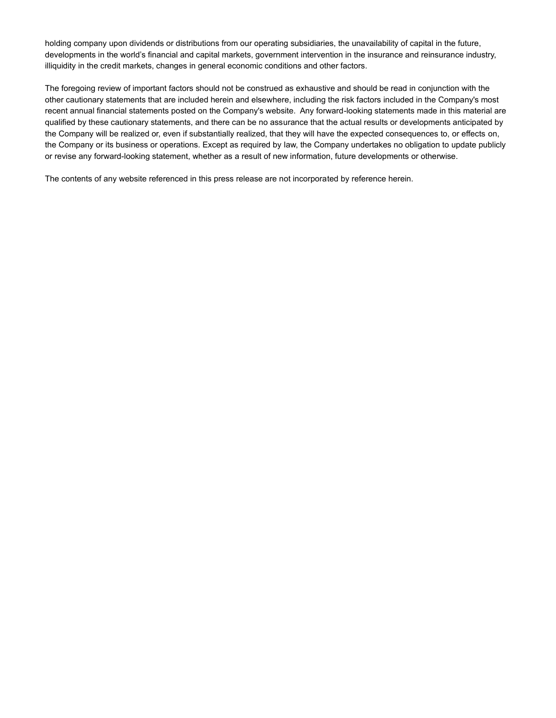holding company upon dividends or distributions from our operating subsidiaries, the unavailability of capital in the future, developments in the world's financial and capital markets, government intervention in the insurance and reinsurance industry, illiquidity in the credit markets, changes in general economic conditions and other factors.

The foregoing review of important factors should not be construed as exhaustive and should be read in conjunction with the other cautionary statements that are included herein and elsewhere, including the risk factors included in the Company's most recent annual financial statements posted on the Company's website. Any forward-looking statements made in this material are qualified by these cautionary statements, and there can be no assurance that the actual results or developments anticipated by the Company will be realized or, even if substantially realized, that they will have the expected consequences to, or effects on, the Company or its business or operations. Except as required by law, the Company undertakes no obligation to update publicly or revise any forward-looking statement, whether as a result of new information, future developments or otherwise.

The contents of any website referenced in this press release are not incorporated by reference herein.